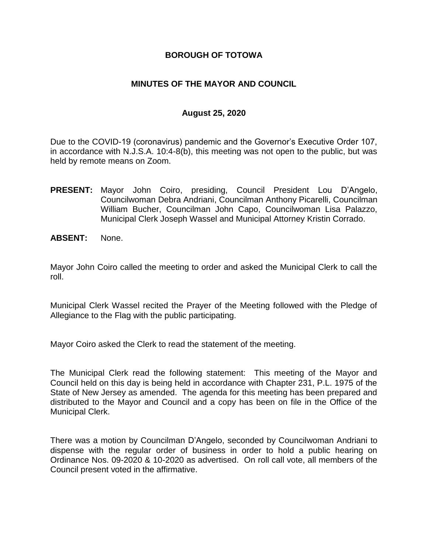## **BOROUGH OF TOTOWA**

## **MINUTES OF THE MAYOR AND COUNCIL**

### **August 25, 2020**

Due to the COVID-19 (coronavirus) pandemic and the Governor's Executive Order 107, in accordance with N.J.S.A. 10:4-8(b), this meeting was not open to the public, but was held by remote means on Zoom.

- **PRESENT:** Mayor John Coiro, presiding, Council President Lou D'Angelo, Councilwoman Debra Andriani, Councilman Anthony Picarelli, Councilman William Bucher, Councilman John Capo, Councilwoman Lisa Palazzo, Municipal Clerk Joseph Wassel and Municipal Attorney Kristin Corrado.
- **ABSENT:** None.

Mayor John Coiro called the meeting to order and asked the Municipal Clerk to call the roll.

Municipal Clerk Wassel recited the Prayer of the Meeting followed with the Pledge of Allegiance to the Flag with the public participating.

Mayor Coiro asked the Clerk to read the statement of the meeting.

The Municipal Clerk read the following statement: This meeting of the Mayor and Council held on this day is being held in accordance with Chapter 231, P.L. 1975 of the State of New Jersey as amended. The agenda for this meeting has been prepared and distributed to the Mayor and Council and a copy has been on file in the Office of the Municipal Clerk.

There was a motion by Councilman D'Angelo, seconded by Councilwoman Andriani to dispense with the regular order of business in order to hold a public hearing on Ordinance Nos. 09-2020 & 10-2020 as advertised. On roll call vote, all members of the Council present voted in the affirmative.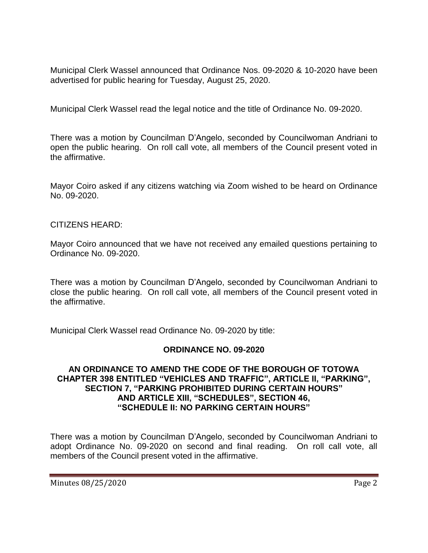Municipal Clerk Wassel announced that Ordinance Nos. 09-2020 & 10-2020 have been advertised for public hearing for Tuesday, August 25, 2020.

Municipal Clerk Wassel read the legal notice and the title of Ordinance No. 09-2020.

There was a motion by Councilman D'Angelo, seconded by Councilwoman Andriani to open the public hearing. On roll call vote, all members of the Council present voted in the affirmative.

Mayor Coiro asked if any citizens watching via Zoom wished to be heard on Ordinance No. 09-2020.

#### CITIZENS HEARD:

Mayor Coiro announced that we have not received any emailed questions pertaining to Ordinance No. 09-2020.

There was a motion by Councilman D'Angelo, seconded by Councilwoman Andriani to close the public hearing. On roll call vote, all members of the Council present voted in the affirmative.

Municipal Clerk Wassel read Ordinance No. 09-2020 by title:

#### **ORDINANCE NO. 09-2020**

#### **AN ORDINANCE TO AMEND THE CODE OF THE BOROUGH OF TOTOWA CHAPTER 398 ENTITLED "VEHICLES AND TRAFFIC", ARTICLE II, "PARKING", SECTION 7, "PARKING PROHIBITED DURING CERTAIN HOURS" AND ARTICLE XIII, "SCHEDULES", SECTION 46, "SCHEDULE II: NO PARKING CERTAIN HOURS"**

There was a motion by Councilman D'Angelo, seconded by Councilwoman Andriani to adopt Ordinance No. 09-2020 on second and final reading. On roll call vote, all members of the Council present voted in the affirmative.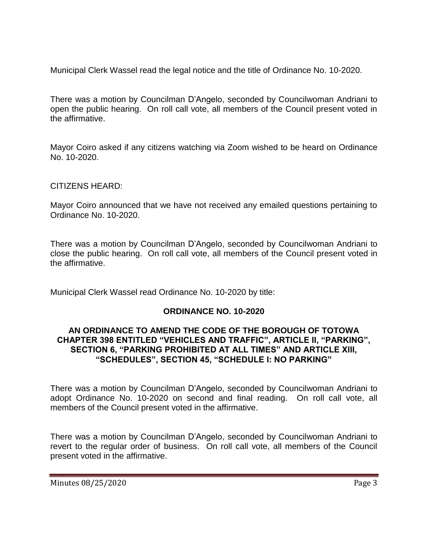Municipal Clerk Wassel read the legal notice and the title of Ordinance No. 10-2020.

There was a motion by Councilman D'Angelo, seconded by Councilwoman Andriani to open the public hearing. On roll call vote, all members of the Council present voted in the affirmative.

Mayor Coiro asked if any citizens watching via Zoom wished to be heard on Ordinance No. 10-2020.

# CITIZENS HEARD:

Mayor Coiro announced that we have not received any emailed questions pertaining to Ordinance No. 10-2020.

There was a motion by Councilman D'Angelo, seconded by Councilwoman Andriani to close the public hearing. On roll call vote, all members of the Council present voted in the affirmative.

Municipal Clerk Wassel read Ordinance No. 10-2020 by title:

# **ORDINANCE NO. 10-2020**

### **AN ORDINANCE TO AMEND THE CODE OF THE BOROUGH OF TOTOWA CHAPTER 398 ENTITLED "VEHICLES AND TRAFFIC", ARTICLE II, "PARKING", SECTION 6, "PARKING PROHIBITED AT ALL TIMES" AND ARTICLE XIII, "SCHEDULES", SECTION 45, "SCHEDULE I: NO PARKING"**

There was a motion by Councilman D'Angelo, seconded by Councilwoman Andriani to adopt Ordinance No. 10-2020 on second and final reading. On roll call vote, all members of the Council present voted in the affirmative.

There was a motion by Councilman D'Angelo, seconded by Councilwoman Andriani to revert to the regular order of business. On roll call vote, all members of the Council present voted in the affirmative.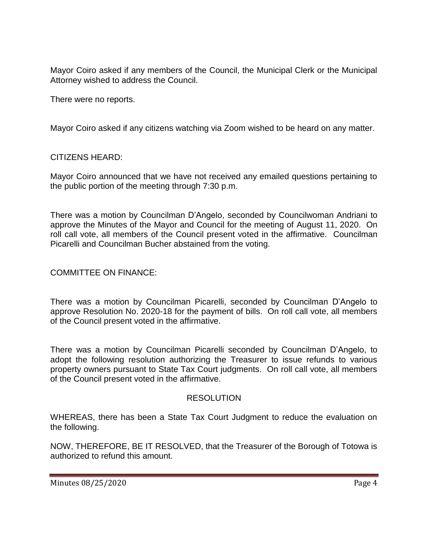Mayor Coiro asked if any members of the Council, the Municipal Clerk or the Municipal Attorney wished to address the Council.

There were no reports.

Mayor Coiro asked if any citizens watching via Zoom wished to be heard on any matter.

## CITIZENS HEARD:

Mayor Coiro announced that we have not received any emailed questions pertaining to the public portion of the meeting through 7:30 p.m.

There was a motion by Councilman D'Angelo, seconded by Councilwoman Andriani to approve the Minutes of the Mayor and Council for the meeting of August 11, 2020. On roll call vote, all members of the Council present voted in the affirmative. Councilman Picarelli and Councilman Bucher abstained from the voting.

## COMMITTEE ON FINANCE:

There was a motion by Councilman Picarelli, seconded by Councilman D'Angelo to approve Resolution No. 2020-18 for the payment of bills. On roll call vote, all members of the Council present voted in the affirmative.

There was a motion by Councilman Picarelli seconded by Councilman D'Angelo, to adopt the following resolution authorizing the Treasurer to issue refunds to various property owners pursuant to State Tax Court judgments. On roll call vote, all members of the Council present voted in the affirmative.

#### RESOLUTION

WHEREAS, there has been a State Tax Court Judgment to reduce the evaluation on the following.

NOW, THEREFORE, BE IT RESOLVED, that the Treasurer of the Borough of Totowa is authorized to refund this amount.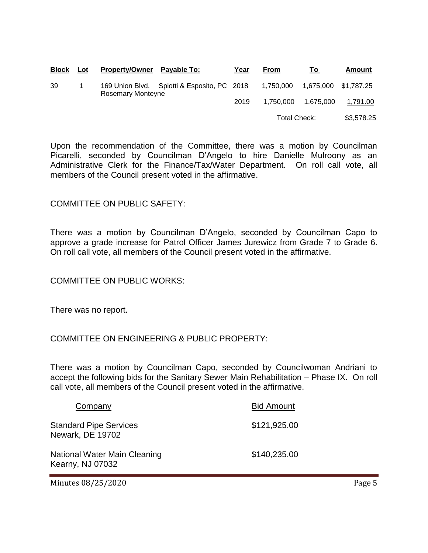| <b>Block</b> | Lot | Property/Owner Payable To:                                       | Year | <b>From</b> | To                   | Amount   |
|--------------|-----|------------------------------------------------------------------|------|-------------|----------------------|----------|
| 39           |     | 169 Union Blvd. Spiotti & Esposito, PC 2018<br>Rosemary Monteyne |      | 1,750,000   | 1,675,000 \$1,787.25 |          |
|              |     |                                                                  | 2019 | 1,750,000   | 1,675,000            | 1,791.00 |
|              |     |                                                                  |      |             | Total Check:         |          |

Upon the recommendation of the Committee, there was a motion by Councilman Picarelli, seconded by Councilman D'Angelo to hire Danielle Mulroony as an Administrative Clerk for the Finance/Tax/Water Department. On roll call vote, all members of the Council present voted in the affirmative.

#### COMMITTEE ON PUBLIC SAFETY:

There was a motion by Councilman D'Angelo, seconded by Councilman Capo to approve a grade increase for Patrol Officer James Jurewicz from Grade 7 to Grade 6. On roll call vote, all members of the Council present voted in the affirmative.

COMMITTEE ON PUBLIC WORKS:

There was no report.

# COMMITTEE ON ENGINEERING & PUBLIC PROPERTY:

There was a motion by Councilman Capo, seconded by Councilwoman Andriani to accept the following bids for the Sanitary Sewer Main Rehabilitation – Phase IX. On roll call vote, all members of the Council present voted in the affirmative.

| Company                                                  | <b>Bid Amount</b> |
|----------------------------------------------------------|-------------------|
| <b>Standard Pipe Services</b><br><b>Newark, DE 19702</b> | \$121,925.00      |
| National Water Main Cleaning<br>Kearny, NJ 07032         | \$140,235.00      |

Minutes 08/25/2020 **Page 5**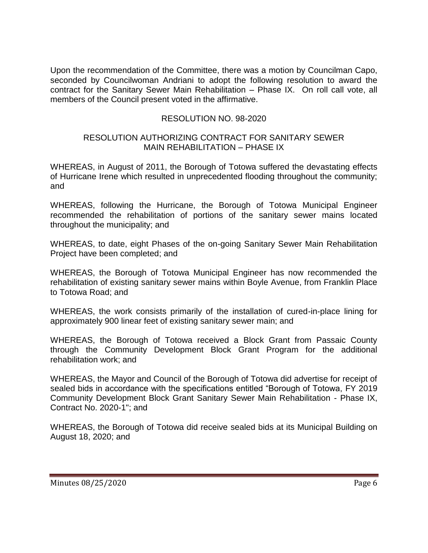Upon the recommendation of the Committee, there was a motion by Councilman Capo, seconded by Councilwoman Andriani to adopt the following resolution to award the contract for the Sanitary Sewer Main Rehabilitation – Phase IX. On roll call vote, all members of the Council present voted in the affirmative.

# RESOLUTION NO. 98-2020

#### RESOLUTION AUTHORIZING CONTRACT FOR SANITARY SEWER MAIN REHABILITATION – PHASE IX

WHEREAS, in August of 2011, the Borough of Totowa suffered the devastating effects of Hurricane Irene which resulted in unprecedented flooding throughout the community; and

WHEREAS, following the Hurricane, the Borough of Totowa Municipal Engineer recommended the rehabilitation of portions of the sanitary sewer mains located throughout the municipality; and

WHEREAS, to date, eight Phases of the on-going Sanitary Sewer Main Rehabilitation Project have been completed; and

WHEREAS, the Borough of Totowa Municipal Engineer has now recommended the rehabilitation of existing sanitary sewer mains within Boyle Avenue, from Franklin Place to Totowa Road; and

WHEREAS, the work consists primarily of the installation of cured-in-place lining for approximately 900 linear feet of existing sanitary sewer main; and

WHEREAS, the Borough of Totowa received a Block Grant from Passaic County through the Community Development Block Grant Program for the additional rehabilitation work; and

WHEREAS, the Mayor and Council of the Borough of Totowa did advertise for receipt of sealed bids in accordance with the specifications entitled "Borough of Totowa, FY 2019 Community Development Block Grant Sanitary Sewer Main Rehabilitation - Phase IX, Contract No. 2020-1"; and

WHEREAS, the Borough of Totowa did receive sealed bids at its Municipal Building on August 18, 2020; and